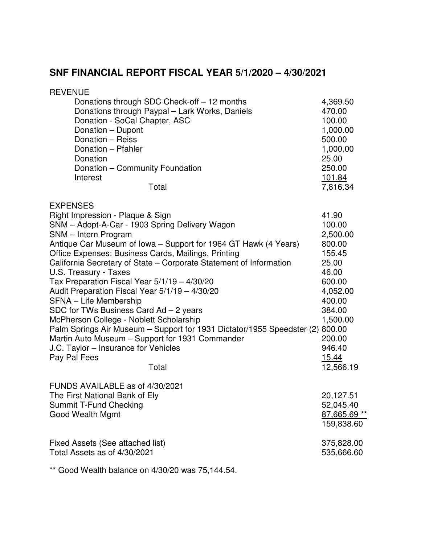## **SNF FINANCIAL REPORT FISCAL YEAR 5/1/2020 – 4/30/2021**

| <b>REVENUE</b>                                                                                                                                                                                                                                                                                                                                                                                                                                                                                                                                                                                                                                                                                                                                                                 |                                                                                                                                                                   |
|--------------------------------------------------------------------------------------------------------------------------------------------------------------------------------------------------------------------------------------------------------------------------------------------------------------------------------------------------------------------------------------------------------------------------------------------------------------------------------------------------------------------------------------------------------------------------------------------------------------------------------------------------------------------------------------------------------------------------------------------------------------------------------|-------------------------------------------------------------------------------------------------------------------------------------------------------------------|
| Donations through SDC Check-off - 12 months                                                                                                                                                                                                                                                                                                                                                                                                                                                                                                                                                                                                                                                                                                                                    | 4,369.50                                                                                                                                                          |
| Donations through Paypal - Lark Works, Daniels                                                                                                                                                                                                                                                                                                                                                                                                                                                                                                                                                                                                                                                                                                                                 | 470.00                                                                                                                                                            |
| Donation - SoCal Chapter, ASC                                                                                                                                                                                                                                                                                                                                                                                                                                                                                                                                                                                                                                                                                                                                                  | 100.00                                                                                                                                                            |
| Donation - Dupont                                                                                                                                                                                                                                                                                                                                                                                                                                                                                                                                                                                                                                                                                                                                                              | 1,000.00                                                                                                                                                          |
| Donation - Reiss                                                                                                                                                                                                                                                                                                                                                                                                                                                                                                                                                                                                                                                                                                                                                               | 500.00                                                                                                                                                            |
| Donation - Pfahler                                                                                                                                                                                                                                                                                                                                                                                                                                                                                                                                                                                                                                                                                                                                                             | 1,000.00                                                                                                                                                          |
| Donation                                                                                                                                                                                                                                                                                                                                                                                                                                                                                                                                                                                                                                                                                                                                                                       | 25.00                                                                                                                                                             |
| Donation - Community Foundation                                                                                                                                                                                                                                                                                                                                                                                                                                                                                                                                                                                                                                                                                                                                                | 250.00                                                                                                                                                            |
| Interest                                                                                                                                                                                                                                                                                                                                                                                                                                                                                                                                                                                                                                                                                                                                                                       | 101.84                                                                                                                                                            |
| Total                                                                                                                                                                                                                                                                                                                                                                                                                                                                                                                                                                                                                                                                                                                                                                          | 7,816.34                                                                                                                                                          |
|                                                                                                                                                                                                                                                                                                                                                                                                                                                                                                                                                                                                                                                                                                                                                                                |                                                                                                                                                                   |
| <b>EXPENSES</b><br>Right Impression - Plaque & Sign<br>SNM - Adopt-A-Car - 1903 Spring Delivery Wagon<br>SNM - Intern Program<br>Antique Car Museum of Iowa – Support for 1964 GT Hawk (4 Years)<br>Office Expenses: Business Cards, Mailings, Printing<br>California Secretary of State – Corporate Statement of Information<br>U.S. Treasury - Taxes<br>Tax Preparation Fiscal Year 5/1/19 - 4/30/20<br>Audit Preparation Fiscal Year 5/1/19 - 4/30/20<br>SFNA - Life Membership<br>SDC for TWs Business Card $Ad - 2$ years<br>McPherson College - Noblett Scholarship<br>Palm Springs Air Museum - Support for 1931 Dictator/1955 Speedster (2) 800.00<br>Martin Auto Museum - Support for 1931 Commander<br>J.C. Taylor - Insurance for Vehicles<br>Pay Pal Fees<br>Total | 41.90<br>100.00<br>2,500.00<br>800.00<br>155.45<br>25.00<br>46.00<br>600.00<br>4,052.00<br>400.00<br>384.00<br>1,500.00<br>200.00<br>946.40<br>15.44<br>12,566.19 |
| FUNDS AVAILABLE as of 4/30/2021                                                                                                                                                                                                                                                                                                                                                                                                                                                                                                                                                                                                                                                                                                                                                | 20,127.51                                                                                                                                                         |
| The First National Bank of Ely                                                                                                                                                                                                                                                                                                                                                                                                                                                                                                                                                                                                                                                                                                                                                 | 52,045.40                                                                                                                                                         |
| <b>Summit T-Fund Checking</b>                                                                                                                                                                                                                                                                                                                                                                                                                                                                                                                                                                                                                                                                                                                                                  | 87,665.69 **                                                                                                                                                      |
| <b>Good Wealth Mgmt</b>                                                                                                                                                                                                                                                                                                                                                                                                                                                                                                                                                                                                                                                                                                                                                        | 159,838.60                                                                                                                                                        |
| Fixed Assets (See attached list)                                                                                                                                                                                                                                                                                                                                                                                                                                                                                                                                                                                                                                                                                                                                               | 375,828.00                                                                                                                                                        |
| Total Assets as of 4/30/2021                                                                                                                                                                                                                                                                                                                                                                                                                                                                                                                                                                                                                                                                                                                                                   | 535,666.60                                                                                                                                                        |

\*\* Good Wealth balance on 4/30/20 was 75,144.54.